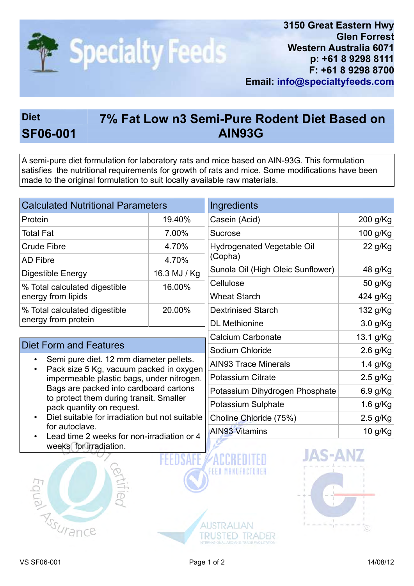

## Diet 7% Fat Low n3 Semi-Pure Rodent Diet Based on SF06-001 AIN93G

A semi-pure diet formulation for laboratory rats and mice based on AIN-93G. This formulation satisfies the nutritional requirements for growth of rats and mice. Some modifications have been made to the original formulation to suit locally available raw materials.

| <b>Calculated Nutritional Parameters</b>                                                                                                                                                                                                                                                                                                                                                      |              | Ingredients                       |            |
|-----------------------------------------------------------------------------------------------------------------------------------------------------------------------------------------------------------------------------------------------------------------------------------------------------------------------------------------------------------------------------------------------|--------------|-----------------------------------|------------|
| Protein                                                                                                                                                                                                                                                                                                                                                                                       | 19.40%       | Casein (Acid)                     | 200 g/Kg   |
| <b>Total Fat</b>                                                                                                                                                                                                                                                                                                                                                                              | 7.00%        | <b>Sucrose</b>                    | 100 g/Kg   |
| <b>Crude Fibre</b>                                                                                                                                                                                                                                                                                                                                                                            | 4.70%        | <b>Hydrogenated Vegetable Oil</b> | 22 g/Kg    |
| <b>AD Fibre</b>                                                                                                                                                                                                                                                                                                                                                                               | 4.70%        | (Copha)                           |            |
| <b>Digestible Energy</b>                                                                                                                                                                                                                                                                                                                                                                      | 16.3 MJ / Kg | Sunola Oil (High Oleic Sunflower) | 48 g/Kg    |
| % Total calculated digestible<br>energy from lipids                                                                                                                                                                                                                                                                                                                                           | 16.00%       | Cellulose                         | 50 g/Kg    |
|                                                                                                                                                                                                                                                                                                                                                                                               |              | <b>Wheat Starch</b>               | 424 g/Kg   |
| % Total calculated digestible<br>energy from protein                                                                                                                                                                                                                                                                                                                                          | 20.00%       | <b>Dextrinised Starch</b>         | 132 g/Kg   |
|                                                                                                                                                                                                                                                                                                                                                                                               |              | <b>DL</b> Methionine              | 3.0 g/Kg   |
|                                                                                                                                                                                                                                                                                                                                                                                               |              | <b>Calcium Carbonate</b>          | 13.1 g/Kg  |
| <b>Diet Form and Features</b>                                                                                                                                                                                                                                                                                                                                                                 |              | Sodium Chloride                   | $2.6$ g/Kg |
| Semi pure diet. 12 mm diameter pellets.<br>Pack size 5 Kg, vacuum packed in oxygen<br>impermeable plastic bags, under nitrogen.<br>Bags are packed into cardboard cartons<br>to protect them during transit. Smaller<br>pack quantity on request.<br>Diet suitable for irradiation but not suitable<br>for autoclave.<br>Lead time 2 weeks for non-irradiation or 4<br>weeks for irradiation. |              | <b>AIN93 Trace Minerals</b>       | $1.4$ g/Kg |
|                                                                                                                                                                                                                                                                                                                                                                                               |              | <b>Potassium Citrate</b>          | $2.5$ g/Kg |
|                                                                                                                                                                                                                                                                                                                                                                                               |              | Potassium Dihydrogen Phosphate    | 6.9 g/Kg   |
|                                                                                                                                                                                                                                                                                                                                                                                               |              | Potassium Sulphate                | 1.6 g/Kg   |
|                                                                                                                                                                                                                                                                                                                                                                                               |              | Choline Chloride (75%)            | $2.5$ g/Kg |
|                                                                                                                                                                                                                                                                                                                                                                                               |              | <b>AIN93 Vitamins</b>             | 10 g/Kg    |
|                                                                                                                                                                                                                                                                                                                                                                                               |              | <b>JAS-AI</b>                     |            |
|                                                                                                                                                                                                                                                                                                                                                                                               |              |                                   |            |





**AUSTRALIAN** 

TRUSTED TRADER